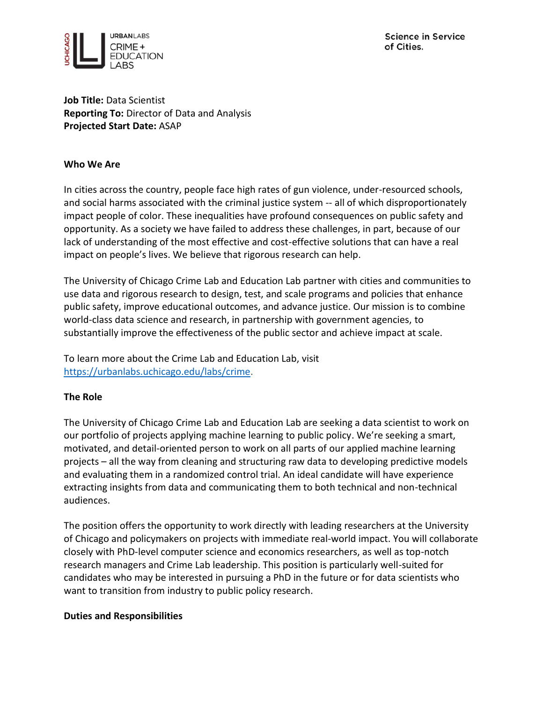

**Job Title:** Data Scientist **Reporting To:** Director of Data and Analysis **Projected Start Date:** ASAP

#### **Who We Are**

In cities across the country, people face high rates of gun violence, under-resourced schools, and social harms associated with the criminal justice system -- all of which disproportionately impact people of color. These inequalities have profound consequences on public safety and opportunity. As a society we have failed to address these challenges, in part, because of our lack of understanding of the most effective and cost-effective solutions that can have a real impact on people's lives. We believe that rigorous research can help.

The University of Chicago Crime Lab and Education Lab partner with cities and communities to use data and rigorous research to design, test, and scale programs and policies that enhance public safety, improve educational outcomes, and advance justice. Our mission is to combine world-class data science and research, in partnership with government agencies, to substantially improve the effectiveness of the public sector and achieve impact at scale.

To learn more about the Crime Lab and Education Lab, visit [https://urbanlabs.uchicago.edu/labs/crime.](https://urbanlabs.uchicago.edu/labs/crime)

## **The Role**

The University of Chicago Crime Lab and Education Lab are seeking a data scientist to work on our portfolio of projects applying machine learning to public policy. We're seeking a smart, motivated, and detail-oriented person to work on all parts of our applied machine learning projects – all the way from cleaning and structuring raw data to developing predictive models and evaluating them in a randomized control trial. An ideal candidate will have experience extracting insights from data and communicating them to both technical and non-technical audiences.

The position offers the opportunity to work directly with leading researchers at the University of Chicago and policymakers on projects with immediate real-world impact. You will collaborate closely with PhD-level computer science and economics researchers, as well as top-notch research managers and Crime Lab leadership. This position is particularly well-suited for candidates who may be interested in pursuing a PhD in the future or for data scientists who want to transition from industry to public policy research.

#### **Duties and Responsibilities**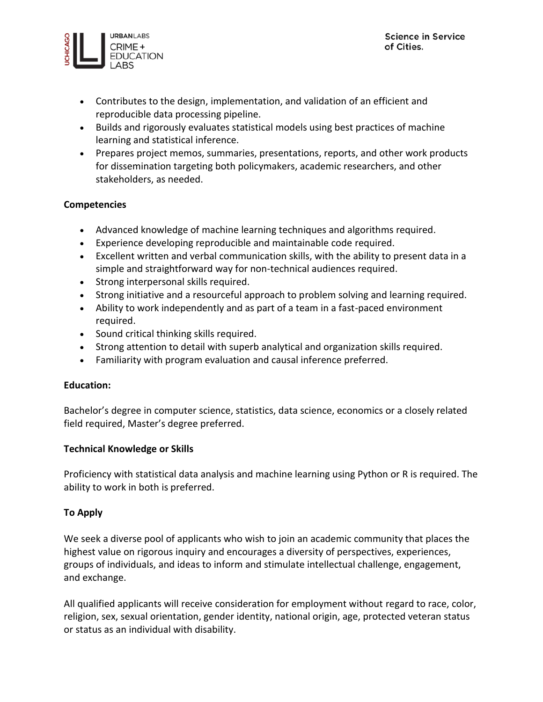

- Contributes to the design, implementation, and validation of an efficient and reproducible data processing pipeline.
- Builds and rigorously evaluates statistical models using best practices of machine learning and statistical inference.
- Prepares project memos, summaries, presentations, reports, and other work products for dissemination targeting both policymakers, academic researchers, and other stakeholders, as needed.

## **Competencies**

- Advanced knowledge of machine learning techniques and algorithms required.
- Experience developing reproducible and maintainable code required.
- Excellent written and verbal communication skills, with the ability to present data in a simple and straightforward way for non-technical audiences required.
- Strong interpersonal skills required.
- Strong initiative and a resourceful approach to problem solving and learning required.
- Ability to work independently and as part of a team in a fast-paced environment required.
- Sound critical thinking skills required.
- Strong attention to detail with superb analytical and organization skills required.
- Familiarity with program evaluation and causal inference preferred.

## **Education:**

Bachelor's degree in computer science, statistics, data science, economics or a closely related field required, Master's degree preferred.

## **Technical Knowledge or Skills**

Proficiency with statistical data analysis and machine learning using Python or R is required. The ability to work in both is preferred.

# **To Apply**

We seek a diverse pool of applicants who wish to join an academic community that places the highest value on rigorous inquiry and encourages a diversity of perspectives, experiences, groups of individuals, and ideas to inform and stimulate intellectual challenge, engagement, and exchange.

All qualified applicants will receive consideration for employment without regard to race, color, religion, sex, sexual orientation, gender identity, national origin, age, protected veteran status or status as an individual with disability.